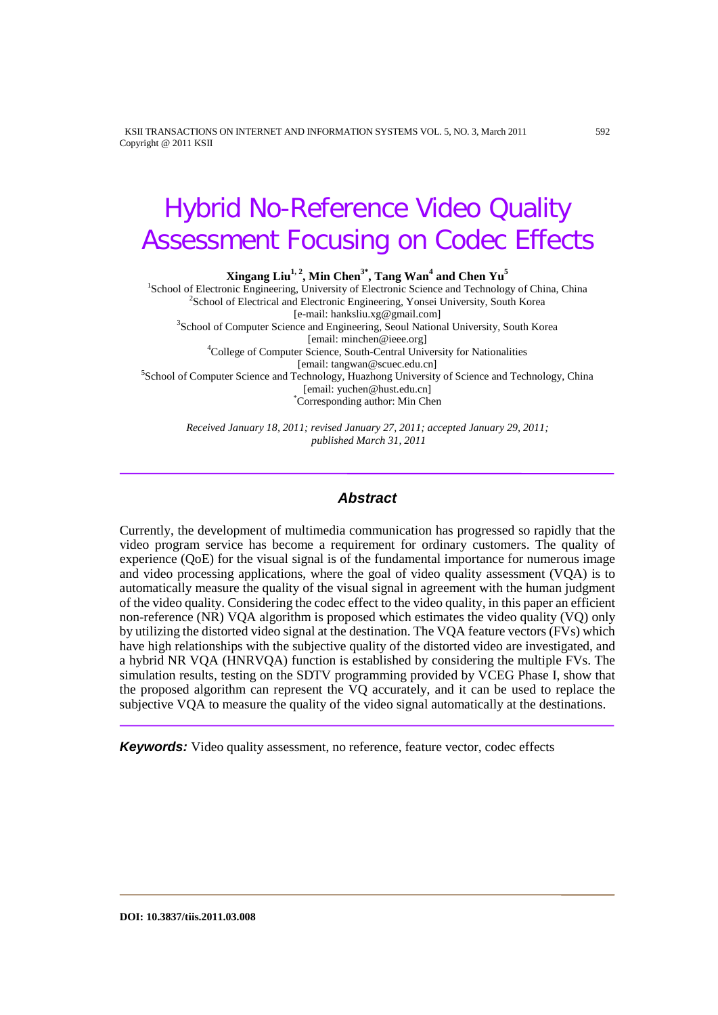KSII TRANSACTIONS ON INTERNET AND INFORMATION SYSTEMS VOL. 5, NO. 3, March 2011 592 Copyright @ 2011 KSII

# Hybrid No-Reference Video Quality Assessment Focusing on Codec Effects

**Xingang Liu<sup>1, 2</sup>, Min Chen<sup>3\*</sup>, Tang Wan<sup>4</sup> and Chen Yu<sup>5</sup><br>
<sup>1</sup>School of Electronic Engineering, University of Electronic Science and Technology of China, China <sup>2</sup>School of Electrical and Electronic Engineering, Vonsei** <sup>2</sup>School of Electrical and Electronic Engineering, Yonsei University, South Korea [e-mail: hanksliu.xg@gmail.com] [e-mail: hanksliu.xg@gmail.com] <sup>3</sup> School of Computer Science and Engineering, Seoul National University, South Korea [email: minchen@ieee.org] <sup>4</sup> College of Computer Science, South-Central University for Nationalities [email: tangwan@scuec.edu.cn] <sup>5</sup> School of Computer Science and Technology, Huazhong University of Science and Technology, China [email: yuchen@hust.edu.cn] \* Corresponding author: Min Chen

> *Received January 18, 2011; revised January 27, 2011; accepted January 29, 2011; published March 31, 2011*

## *Abstract*

Currently, the development of multimedia communication has progressed so rapidly that the video program service has become a requirement for ordinary customers. The quality of experience (QoE) for the visual signal is of the fundamental importance for numerous image and video processing applications, where the goal of video quality assessment (VQA) is to automatically measure the quality of the visual signal in agreement with the human judgment of the video quality. Considering the codec effect to the video quality, in this paper an efficient non-reference (NR) VQA algorithm is proposed which estimates the video quality (VQ) only by utilizing the distorted video signal at the destination. The VQA feature vectors (FVs) which have high relationships with the subjective quality of the distorted video are investigated, and a hybrid NR VQA (HNRVQA) function is established by considering the multiple FVs. The simulation results, testing on the SDTV programming provided by VCEG Phase I, show that the proposed algorithm can represent the VQ accurately, and it can be used to replace the subjective VQA to measure the quality of the video signal automatically at the destinations.

*Keywords:* Video quality assessment, no reference, feature vector, codec effects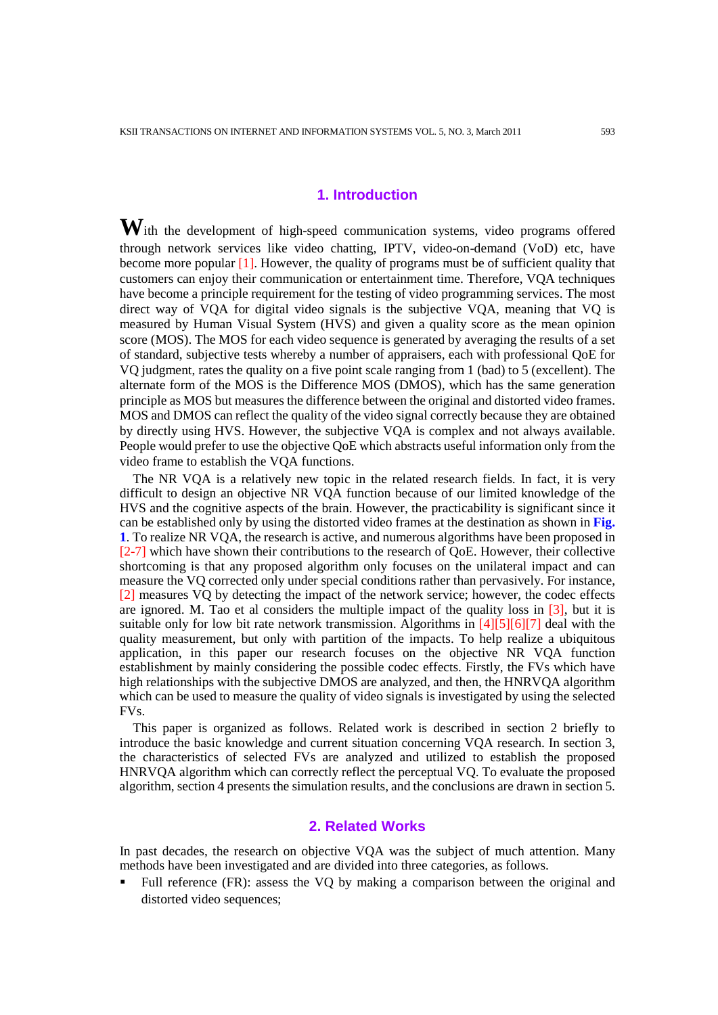# **1. Introduction**

**W**ith the development of high-speed communication systems, video programs offered through network services like video chatting, IPTV, video-on-demand (VoD) etc, have become more popular [1]. However, the quality of programs must be of sufficient quality that customers can enjoy their communication or entertainment time. Therefore, VQA techniques have become a principle requirement for the testing of video programming services. The most direct way of VQA for digital video signals is the subjective VQA, meaning that VQ is measured by Human Visual System (HVS) and given a quality score as the mean opinion score (MOS). The MOS for each video sequence is generated by averaging the results of a set of standard, subjective tests whereby a number of appraisers, each with professional QoE for VQ judgment, rates the quality on a five point scale ranging from 1 (bad) to 5 (excellent). The alternate form of the MOS is the Difference MOS (DMOS), which has the same generation principle as MOS but measures the difference between the original and distorted video frames. MOS and DMOS can reflect the quality of the video signal correctly because they are obtained by directly using HVS. However, the subjective VQA is complex and not always available. People would prefer to use the objective QoE which abstracts useful information only from the video frame to establish the VQA functions.

The NR VQA is a relatively new topic in the related research fields. In fact, it is very difficult to design an objective NR VQA function because of our limited knowledge of the HVS and the cognitive aspects of the brain. However, the practicability is significant since it can be established only by using the distorted video frames at the destination as shown in **Fig. 1**. To realize NR VQA, the research is active, and numerous algorithms have been proposed in [2-7] which have shown their contributions to the research of QoE. However, their collective shortcoming is that any proposed algorithm only focuses on the unilateral impact and can measure the VQ corrected only under special conditions rather than pervasively. For instance, [2] measures VQ by detecting the impact of the network service; however, the codec effects are ignored. M. Tao et al considers the multiple impact of the quality loss in  $[3]$ , but it is suitable only for low bit rate network transmission. Algorithms in [4][5][6][7] deal with the quality measurement, but only with partition of the impacts. To help realize a ubiquitous application, in this paper our research focuses on the objective NR VQA function establishment by mainly considering the possible codec effects. Firstly, the FVs which have high relationships with the subjective DMOS are analyzed, and then, the HNRVQA algorithm which can be used to measure the quality of video signals is investigated by using the selected FVs.

This paper is organized as follows. Related work is described in section 2 briefly to introduce the basic knowledge and current situation concerning VQA research. In section 3, the characteristics of selected FVs are analyzed and utilized to establish the proposed HNRVQA algorithm which can correctly reflect the perceptual VQ. To evaluate the proposed algorithm, section 4 presents the simulation results, and the conclusions are drawn in section 5.

# **2. Related Works**

In past decades, the research on objective VQA was the subject of much attention. Many methods have been investigated and are divided into three categories, as follows.

 Full reference (FR): assess the VQ by making a comparison between the original and distorted video sequences;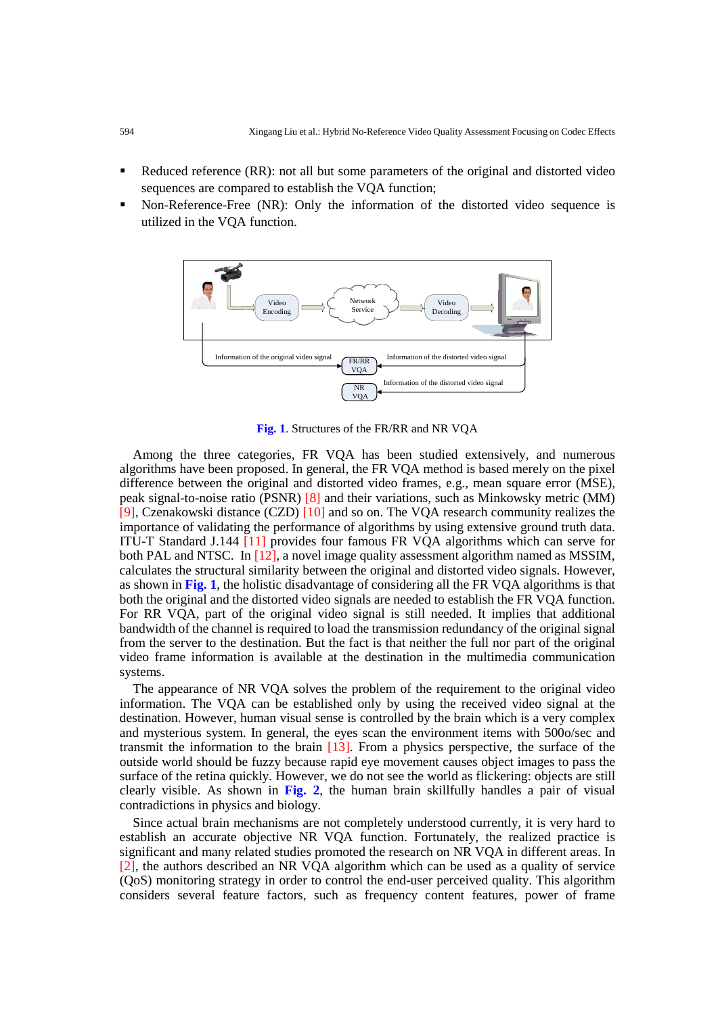- Reduced reference (RR): not all but some parameters of the original and distorted video sequences are compared to establish the VQA function;
- Non-Reference-Free (NR): Only the information of the distorted video sequence is utilized in the VQA function.



**Fig. 1**. Structures of the FR/RR and NR VQA

Among the three categories, FR VQA has been studied extensively, and numerous algorithms have been proposed. In general, the FR VQA method is based merely on the pixel difference between the original and distorted video frames, e.g., mean square error (MSE), peak signal-to-noise ratio (PSNR) [8] and their variations, such as Minkowsky metric (MM) [9], Czenakowski distance (CZD) [10] and so on. The VQA research community realizes the importance of validating the performance of algorithms by using extensive ground truth data. ITU-T Standard J.144 [11] provides four famous FR VQA algorithms which can serve for both PAL and NTSC. In [12], a novel image quality assessment algorithm named as MSSIM, calculates the structural similarity between the original and distorted video signals. However, as shown in **Fig. 1**, the holistic disadvantage of considering all the FR VQA algorithms is that both the original and the distorted video signals are needed to establish the FR VQA function. For RR VQA, part of the original video signal is still needed. It implies that additional bandwidth of the channel is required to load the transmission redundancy of the original signal from the server to the destination. But the fact is that neither the full nor part of the original video frame information is available at the destination in the multimedia communication systems.

The appearance of NR VQA solves the problem of the requirement to the original video information. The VQA can be established only by using the received video signal at the destination. However, human visual sense is controlled by the brain which is a very complex and mysterious system. In general, the eyes scan the environment items with 500o/sec and transmit the information to the brain [13]. From a physics perspective, the surface of the outside world should be fuzzy because rapid eye movement causes object images to pass the surface of the retina quickly. However, we do not see the world as flickering: objects are still clearly visible. As shown in **Fig. 2**, the human brain skillfully handles a pair of visual contradictions in physics and biology.

Since actual brain mechanisms are not completely understood currently, it is very hard to establish an accurate objective NR VQA function. Fortunately, the realized practice is significant and many related studies promoted the research on NR VQA in different areas. In [2], the authors described an NR VQA algorithm which can be used as a quality of service (QoS) monitoring strategy in order to control the end-user perceived quality. This algorithm considers several feature factors, such as frequency content features, power of frame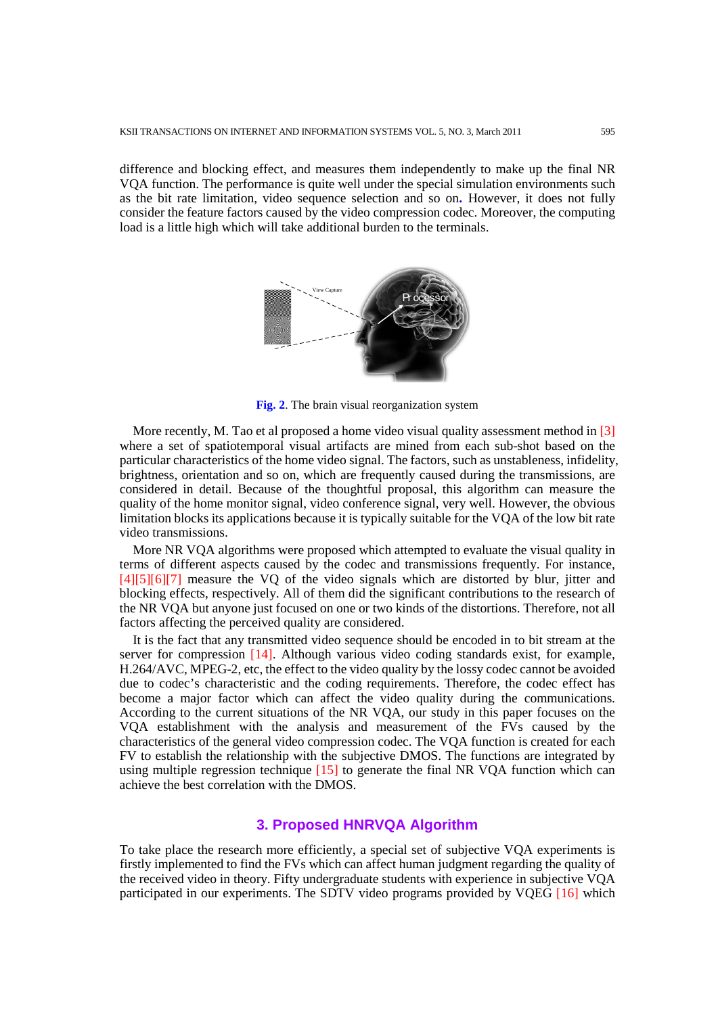difference and blocking effect, and measures them independently to make up the final NR VQA function. The performance is quite well under the special simulation environments such as the bit rate limitation, video sequence selection and so on**.** However, it does not fully consider the feature factors caused by the video compression codec. Moreover, the computing load is a little high which will take additional burden to the terminals.



**Fig. 2**. The brain visual reorganization system

More recently, M. Tao et al proposed a home video visual quality assessment method in [3] where a set of spatiotemporal visual artifacts are mined from each sub-shot based on the particular characteristics of the home video signal. The factors, such as unstableness, infidelity, brightness, orientation and so on, which are frequently caused during the transmissions, are considered in detail. Because of the thoughtful proposal, this algorithm can measure the quality of the home monitor signal, video conference signal, very well. However, the obvious limitation blocks its applications because it is typically suitable for the VQA of the low bit rate video transmissions.

More NR VQA algorithms were proposed which attempted to evaluate the visual quality in terms of different aspects caused by the codec and transmissions frequently. For instance, [4][5][6][7] measure the VQ of the video signals which are distorted by blur, jitter and blocking effects, respectively. All of them did the significant contributions to the research of the NR VQA but anyone just focused on one or two kinds of the distortions. Therefore, not all factors affecting the perceived quality are considered.

It is the fact that any transmitted video sequence should be encoded in to bit stream at the server for compression [14]. Although various video coding standards exist, for example, H.264/AVC, MPEG-2, etc, the effect to the video quality by the lossy codec cannot be avoided due to codec's characteristic and the coding requirements. Therefore, the codec effect has become a major factor which can affect the video quality during the communications. According to the current situations of the NR VQA, our study in this paper focuses on the VQA establishment with the analysis and measurement of the FVs caused by the characteristics of the general video compression codec. The VQA function is created for each FV to establish the relationship with the subjective DMOS. The functions are integrated by using multiple regression technique [15] to generate the final NR VQA function which can achieve the best correlation with the DMOS.

# **3. Proposed HNRVQA Algorithm**

To take place the research more efficiently, a special set of subjective VQA experiments is firstly implemented to find the FVs which can affect human judgment regarding the quality of the received video in theory. Fifty undergraduate students with experience in subjective VQA participated in our experiments. The SDTV video programs provided by VQEG [16] which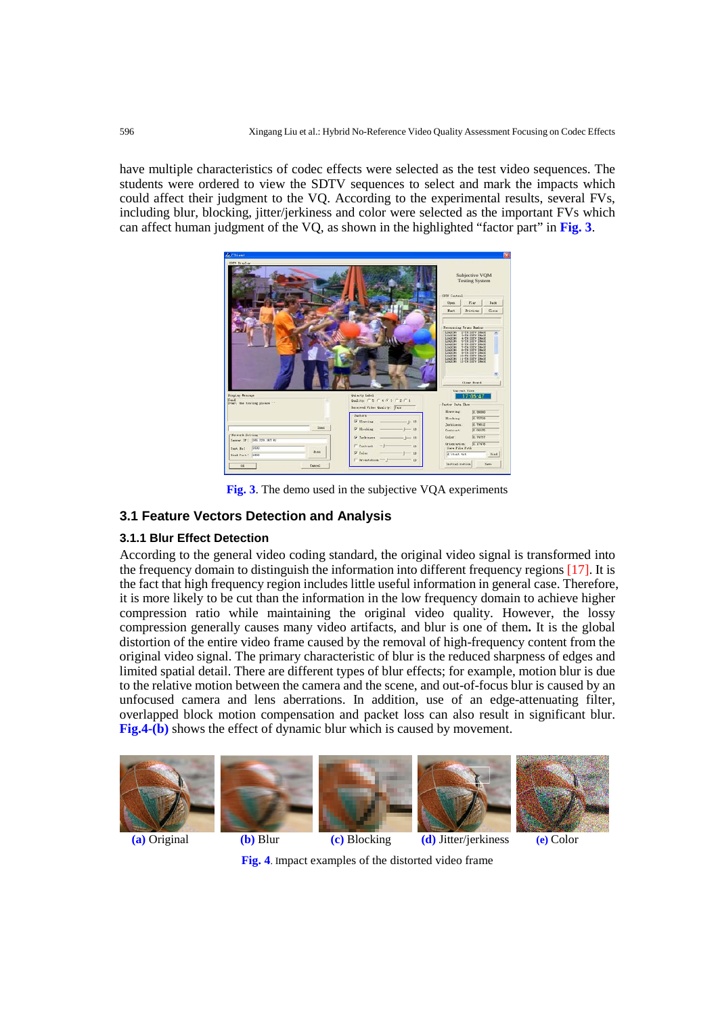have multiple characteristics of codec effects were selected as the test video sequences. The students were ordered to view the SDTV sequences to select and mark the impacts which could affect their judgment to the VQ. According to the experimental results, several FVs, including blur, blocking, jitter/jerkiness and color were selected as the important FVs which can affect human judgment of the VQ, as shown in the highlighted "factor part" in **Fig. 3**.



**Fig. 3**. The demo used in the subjective VQA experiments

# **3.1 Feature Vectors Detection and Analysis**

#### **3.1.1 Blur Effect Detection**

According to the general video coding standard, the original video signal is transformed into the frequency domain to distinguish the information into different frequency regions [17]. It is the fact that high frequency region includes little useful information in general case. Therefore, it is more likely to be cut than the information in the low frequency domain to achieve higher compression ratio while maintaining the original video quality. However, the lossy compression generally causes many video artifacts, and blur is one of them**.** It is the global distortion of the entire video frame caused by the removal of high-frequency content from the original video signal. The primary characteristic of blur is the reduced sharpness of edges and limited spatial detail. There are different types of blur effects; for example, motion blur is due to the relative motion between the camera and the scene, and out-of-focus blur is caused by an unfocused camera and lens aberrations. In addition, use of an edge-attenuating filter, overlapped block motion compensation and packet loss can also result in significant blur. **Fig.4-(b)** shows the effect of dynamic blur which is caused by movement.



**Fig. 4**. Impact examples of the distorted video frame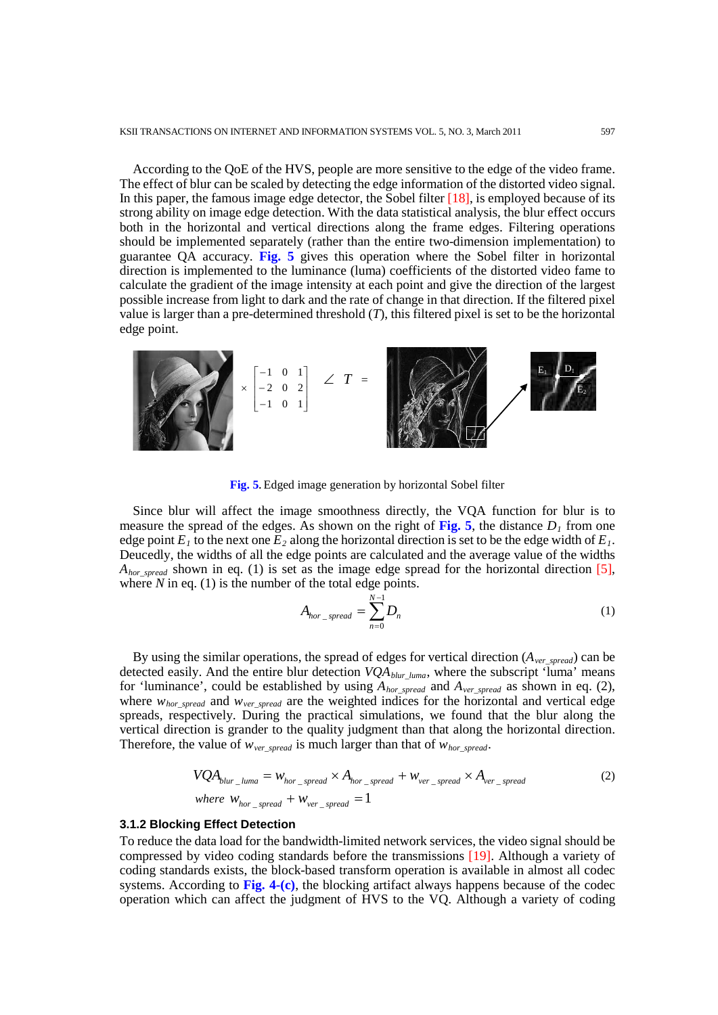According to the QoE of the HVS, people are more sensitive to the edge of the video frame. The effect of blur can be scaled by detecting the edge information of the distorted video signal. In this paper, the famous image edge detector, the Sobel filter [18], is employed because of its strong ability on image edge detection. With the data statistical analysis, the blur effect occurs both in the horizontal and vertical directions along the frame edges. Filtering operations should be implemented separately (rather than the entire two-dimension implementation) to guarantee QA accuracy. **Fig. 5** gives this operation where the Sobel filter in horizontal direction is implemented to the luminance (luma) coefficients of the distorted video fame to calculate the [gradient](http://en.wikipedia.org/wiki/Image_gradient) of the image intensity at each point and give the direction of the largest possible increase from light to dark and the rate of change in that direction. If the filtered pixel value is larger than a pre-determined threshold (*T*), this filtered pixel is set to be the horizontal edge point.



**Fig. 5.** Edged image generation by horizontal Sobel filter

Since blur will affect the image smoothness directly, the VQA function for blur is to measure the spread of the edges. As shown on the right of Fig. 5, the distance  $D_1$  from one edge point  $E_1$  to the next one  $E_2$  along the horizontal direction is set to be the edge width of  $E_1$ . Deucedly, the widths of all the edge points are calculated and the average value of the widths  $A_{hor\_spread}$  shown in eq. (1) is set as the image edge spread for the horizontal direction [5], where  $N$  in eq. (1) is the number of the total edge points.

$$
A_{hor\_spread} = \sum_{n=0}^{N-1} D_n
$$
 (1)

By using the similar operations, the spread of edges for vertical direction (*Aver\_spread*) can be detected easily. And the entire blur detection  $VQA_{blur\_luma}$ , where the subscript 'luma' means for 'luminance', could be established by using *Ahor\_spread* and *Aver\_spread* as shown in eq. (2), where  $w_{hor\_spread}$  and  $w_{ver\_spread}$  are the weighted indices for the horizontal and vertical edge spreads, respectively. During the practical simulations, we found that the blur along the vertical direction is grander to the quality judgment than that along the horizontal direction. Therefore, the value of  $w_{ver\ spread}$  is much larger than that of  $w_{hor\ spread}$ .

$$
VQA_{blur\_luma} = w_{hor\_spread} \times A_{hor\_spread} + w_{ver\_spread} \times A_{ver\_spread}
$$
  
where  $w_{hor\_spread} + w_{ver\_spread} = 1$  (2)

#### **3.1.2 Blocking Effect Detection**

To reduce the data load for the bandwidth-limited network services, the video signal should be compressed by video coding standards before the transmissions [19]. Although a variety of coding standards exists, the block-based transform operation is available in almost all codec systems. According to **Fig. 4-(c)**, the blocking artifact always happens because of the codec operation which can affect the judgment of HVS to the VQ. Although a variety of coding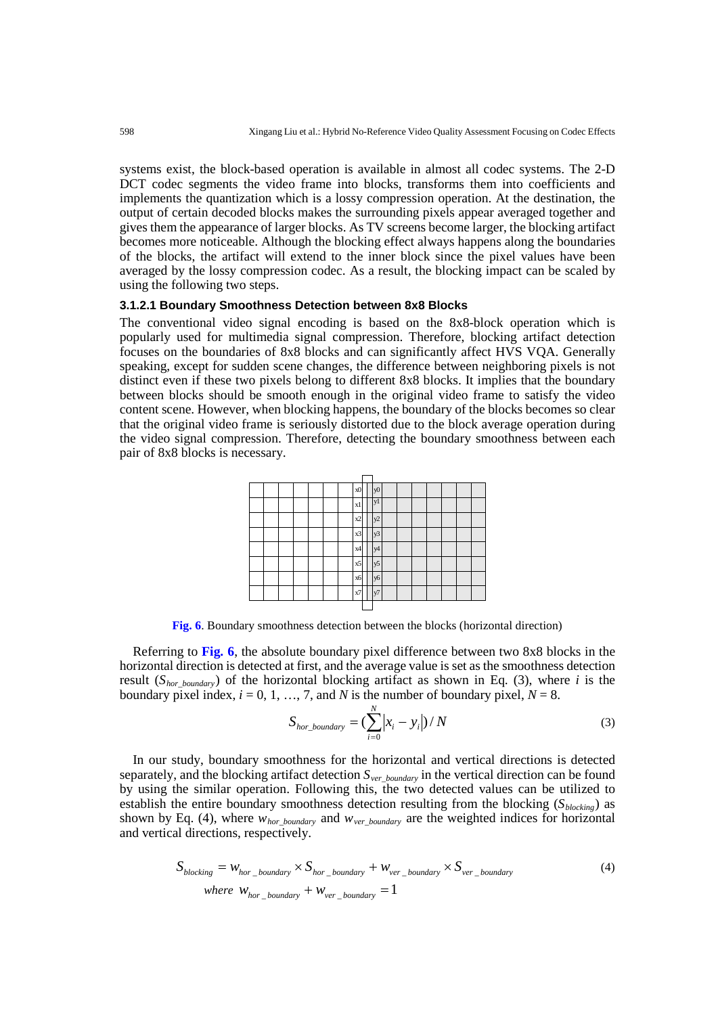systems exist, the block-based operation is available in almost all codec systems. The 2-D DCT codec segments the video frame into blocks, transforms them into coefficients and implements the quantization which is a lossy compression operation. At the destination, the output of certain decoded blocks makes the surrounding pixels appear averaged together and gives them the appearance of larger blocks. As TV screens become larger, the blocking artifact becomes more noticeable. Although the blocking effect always happens along the boundaries of the blocks, the artifact will extend to the inner block since the pixel values have been averaged by the lossy compression codec. As a result, the blocking impact can be scaled by using the following two steps.

#### **3.1.2.1 Boundary Smoothness Detection between 8x8 Blocks**

The conventional video signal encoding is based on the 8x8-block operation which is popularly used for multimedia signal compression. Therefore, blocking artifact detection focuses on the boundaries of 8x8 blocks and can significantly affect HVS VQA. Generally speaking, except for sudden scene changes, the difference between neighboring pixels is not distinct even if these two pixels belong to different 8x8 blocks. It implies that the boundary between blocks should be smooth enough in the original video frame to satisfy the video content scene. However, when blocking happens, the boundary of the blocks becomes so clear that the original video frame is seriously distorted due to the block average operation during the video signal compression. Therefore, detecting the boundary smoothness between each pair of 8x8 blocks is necessary.



**Fig. 6**. Boundary smoothness detection between the blocks (horizontal direction)

Referring to **Fig. 6**, the absolute boundary pixel difference between two 8x8 blocks in the horizontal direction is detected at first, and the average value is set as the smoothness detection result (*Shor\_boundary*) of the horizontal blocking artifact as shown in Eq. (3), where *i* is the boundary pixel index,  $i = 0, 1, ..., 7$ , and *N* is the number of boundary pixel,  $N = 8$ .

$$
S_{hor\_boundary} = \left(\sum_{i=0}^{N} \left| x_i - y_i \right| \right) / N \tag{3}
$$

In our study, boundary smoothness for the horizontal and vertical directions is detected separately, and the blocking artifact detection *Sver\_boundary* in the vertical direction can be found by using the similar operation. Following this, the two detected values can be utilized to establish the entire boundary smoothness detection resulting from the blocking  $(S_{blocking})$  as shown by Eq. (4), where *whor\_boundary* and *wver\_boundary* are the weighted indices for horizontal and vertical directions, respectively.

$$
S_{blocking} = w_{hor\_boundary} \times S_{hor\_boundary} + w_{ver\_boundary} \times S_{ver\_boundary}
$$
\n
$$
where \ w_{hor\_boundary} + w_{ver\_boundary} = 1
$$
\n(4)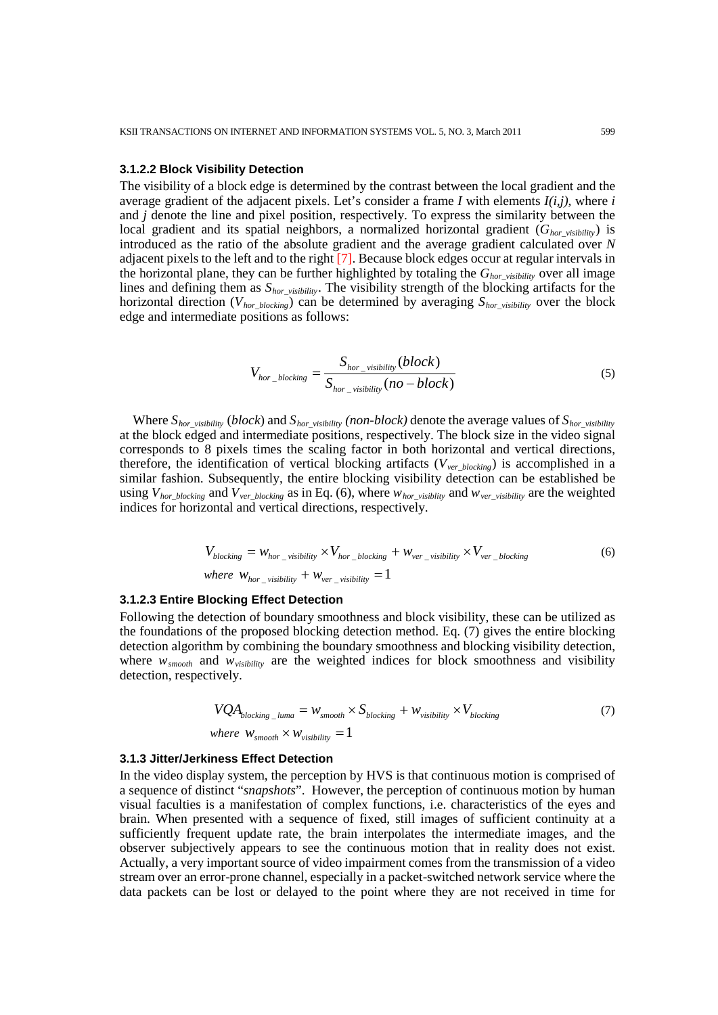#### **3.1.2.2 Block Visibility Detection**

The visibility of a block edge is determined by the contrast between the local gradient and the average gradient of the adjacent pixels. Let's consider a frame *I* with elements *I(i,j)*, where *i* and *j* denote the line and pixel position, respectively. To express the similarity between the local gradient and its spatial neighbors, a normalized horizontal gradient  $(G<sub>hor</sub>$ <sub>visibility</sub>) is introduced as the ratio of the absolute gradient and the average gradient calculated over *N* adjacent pixels to the left and to the right [7]. Because block edges occur at regular intervals in the horizontal plane, they can be further highlighted by totaling the *Ghor\_visibility* over all image lines and defining them as *Shor\_visibility*. The visibility strength of the blocking artifacts for the horizontal direction (*Vhor\_blocking*) can be determined by averaging *Shor\_visibility* over the block edge and intermediate positions as follows:

$$
V_{hor\_blocking} = \frac{S_{hor\_visibility}(block)}{S_{hor\_visibility}(no-block)}
$$
(5)

Where *Shor\_visibility* (*block*) and *Shor\_visibility (non-block)* denote the average values of *Shor\_visibility* at the block edged and intermediate positions, respectively. The block size in the video signal corresponds to 8 pixels times the scaling factor in both horizontal and vertical directions, therefore, the identification of vertical blocking artifacts (*Vver\_blocking*) is accomplished in a similar fashion. Subsequently, the entire blocking visibility detection can be established be using  $V_{hor\_blocking}$  and  $V_{ver\_blocking}$  as in Eq. (6), where  $w_{hor\_visibility}$  and  $w_{ver\_visibility}$  are the weighted indices for horizontal and vertical directions, respectively.

$$
V_{blocking} = w_{hor\_visibility} \times V_{hor\_blocking} + w_{ver\_visibility} \times V_{ver\_blocking}
$$
\n
$$
where \ w_{hor\_visibility} + w_{ver\_visibility} = 1
$$
\n
$$
(6)
$$

#### **3.1.2.3 Entire Blocking Effect Detection**

Following the detection of boundary smoothness and block visibility, these can be utilized as the foundations of the proposed blocking detection method. Eq. (7) gives the entire blocking detection algorithm by combining the boundary smoothness and blocking visibility detection, where  $w_{smooth}$  and  $w_{visibility}$  are the weighted indices for block smoothness and visibility detection, respectively.

$$
VQA_{blocking\_luma} = W_{smooth} \times S_{blocking} + W_{visibility} \times V_{blocking}
$$
  
where  $W_{smooth} \times W_{visibility} = 1$  (7)

#### **3.1.3 Jitter/Jerkiness Effect Detection**

In the video display system, the perception by HVS is that continuous motion is comprised of a sequence of distinct "*snapshots*". However, the perception of continuous motion by human visual faculties is a manifestation of complex functions, i.e. characteristics of the eyes and brain. When presented with a sequence of fixed, still images of sufficient continuity at a sufficiently frequent update rate, the brain interpolates the intermediate images, and the observer subjectively appears to see the continuous motion that in reality does not exist. Actually, a very important source of video impairment comes from the transmission of a video stream over an error-prone channel, especially in a packet-switched network service where the data packets can be lost or delayed to the point where they are not received in time for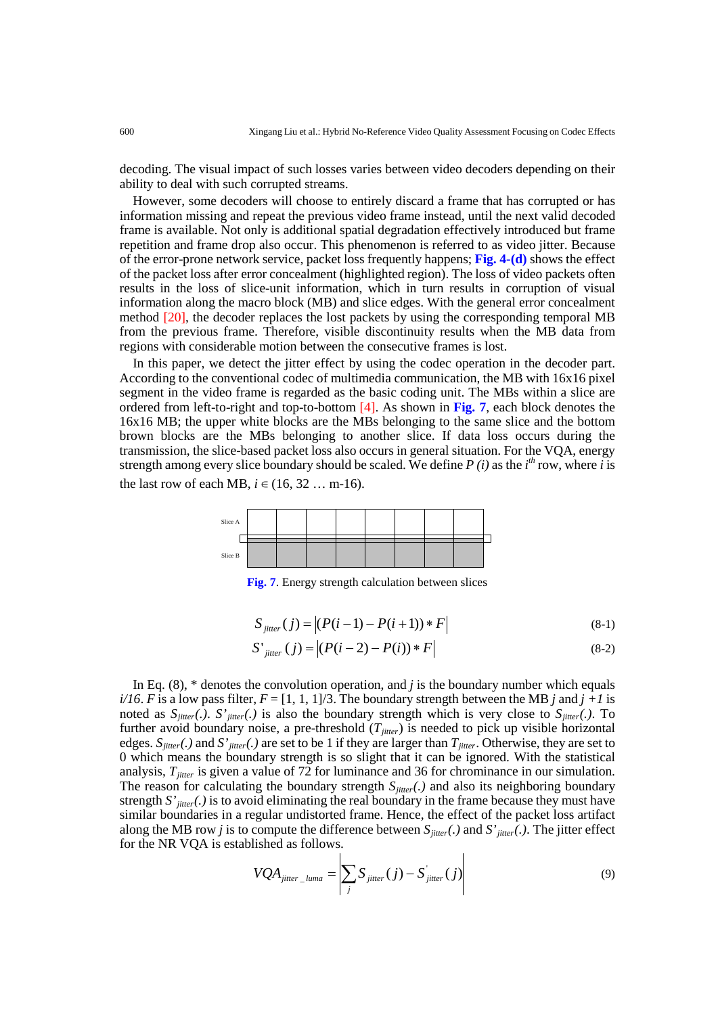decoding. The visual impact of such losses varies between video decoders depending on their ability to deal with such corrupted streams.

However, some decoders will choose to entirely discard a frame that has corrupted or has information missing and repeat the previous video frame instead, until the next valid decoded frame is available. Not only is additional spatial degradation effectively introduced but frame repetition and frame drop also occur. This phenomenon is referred to as video jitter. Because of the error-prone network service, packet loss frequently happens; **Fig. 4-(d)** shows the effect of the packet loss after error concealment (highlighted region). The loss of video packets often results in the loss of slice-unit information, which in turn results in corruption of visual information along the macro block (MB) and slice edges. With the general error concealment method [20], the decoder replaces the lost packets by using the corresponding temporal MB from the previous frame. Therefore, visible discontinuity results when the MB data from regions with considerable motion between the consecutive frames is lost.

In this paper, we detect the jitter effect by using the codec operation in the decoder part. According to the conventional codec of multimedia communication, the MB with 16x16 pixel segment in the video frame is regarded as the basic coding unit. The MBs within a slice are ordered from left-to-right and top-to-bottom [4]. As shown in **Fig. 7**, each block denotes the 16x16 MB; the upper white blocks are the MBs belonging to the same slice and the bottom brown blocks are the MBs belonging to another slice. If data loss occurs during the transmission, the slice-based packet loss also occurs in general situation. For the VQA, energy strength among every slice boundary should be scaled. We define  $P(i)$  as the  $i<sup>th</sup>$  row, where *i* is the last row of each MB,  $i$  ∈ (16, 32 … m-16).



**Fig. 7**. Energy strength calculation between slices

$$
S_{\text{jitter}}(j) = |(P(i-1) - P(i+1)) * F|
$$
\n(8-1)

$$
S'_{\text{jitter}}(j) = |(P(i-2) - P(i)) * F|
$$
\n(8-2)

In Eq.  $(8)$ ,  $*$  denotes the convolution operation, and *j* is the boundary number which equals *i/16*. *F* is a low pass filter,  $F = [1, 1, 1]/3$ . The boundary strength between the MB *j* and  $j + 1$  is noted as  $S_{jitter}(.)$ . *S'*<sub>jitter</sub>(.) is also the boundary strength which is very close to  $S_{jitter}(.)$ . To further avoid boundary noise, a pre-threshold  $(T<sub>jitter</sub>)$  is needed to pick up visible horizontal edges.  $S_{jitter}(.)$  and  $S'_{jitter}(.)$  are set to be 1 if they are larger than  $T_{jitter}$ . Otherwise, they are set to 0 which means the boundary strength is so slight that it can be ignored. With the statistical analysis,  $T_{\text{jitter}}$  is given a value of 72 for luminance and 36 for chrominance in our simulation. The reason for calculating the boundary strength  $S<sub>inter</sub>(.)$  and also its neighboring boundary strength  $S'_{\text{inter}}(.)$  is to avoid eliminating the real boundary in the frame because they must have similar boundaries in a regular undistorted frame. Hence, the effect of the packet loss artifact along the MB row *j* is to compute the difference between  $S_{\text{jitter}}(.)$  and  $S'_{\text{jitter}}(.)$ . The jitter effect for the NR VQA is established as follows.  $\overline{1}$ 

$$
VQA_{jitter\_luma} = \left| \sum_{j} S_{jitter}(j) - S_{jitter}(j) \right| \tag{9}
$$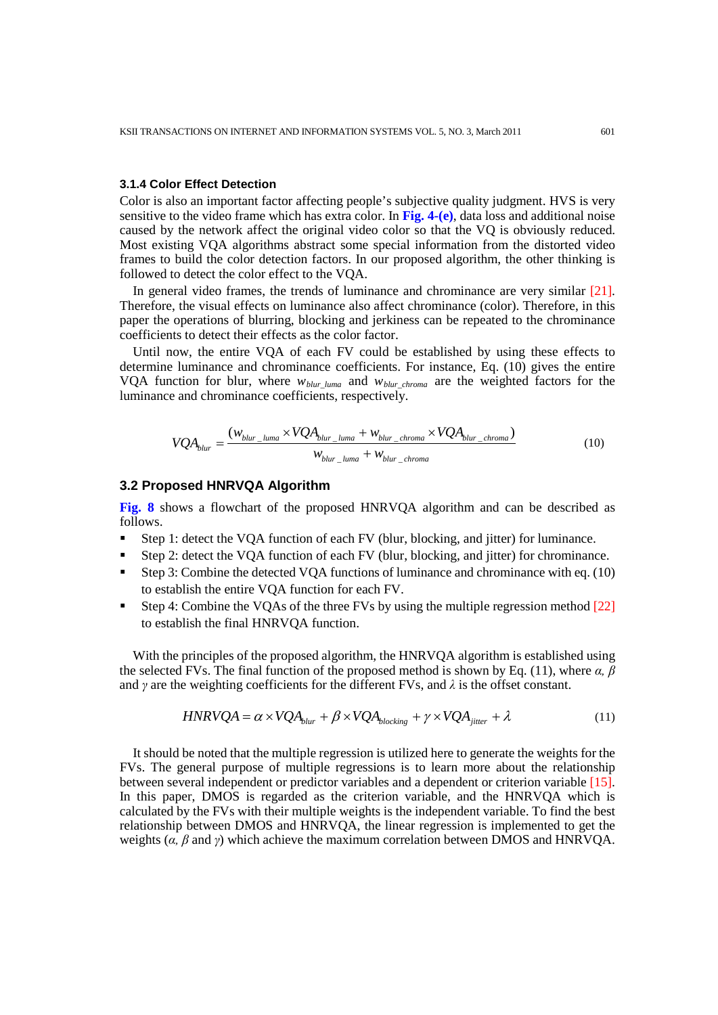#### **3.1.4 Color Effect Detection**

Color is also an important factor affecting people's subjective quality judgment. HVS is very sensitive to the video frame which has extra color. In **Fig. 4-(e)**, data loss and additional noise caused by the network affect the original video color so that the VQ is obviously reduced. Most existing VQA algorithms abstract some special information from the distorted video frames to build the color detection factors. In our proposed algorithm, the other thinking is followed to detect the color effect to the VQA.

In general video frames, the trends of luminance and chrominance are very similar [21]. Therefore, the visual effects on luminance also affect chrominance (color). Therefore, in this paper the operations of blurring, blocking and jerkiness can be repeated to the chrominance coefficients to detect their effects as the color factor.

Until now, the entire VQA of each FV could be established by using these effects to determine luminance and chrominance coefficients. For instance, Eq. (10) gives the entire VQA function for blur, where *wblur\_luma* and *wblur\_chroma* are the weighted factors for the luminance and chrominance coefficients, respectively.

$$
VQA_{blur} = \frac{(w_{blur\_luma} \times VQA_{blur\_luma} + w_{blur\_chroma} \times VQA_{blur\_chroma})}{w_{blur\_luma} + w_{blur\_chroma}}
$$
(10)

#### **3.2 Proposed HNRVQA Algorithm**

**Fig. 8** shows a flowchart of the proposed HNRVQA algorithm and can be described as follows.

- Step 1: detect the VQA function of each FV (blur, blocking, and jitter) for luminance.
- Step 2: detect the VQA function of each FV (blur, blocking, and jitter) for chrominance.
- Step 3: Combine the detected VQA functions of luminance and chrominance with eq. (10) to establish the entire VQA function for each FV.
- Step 4: Combine the VQAs of the three FVs by using the multiple regression method [22] to establish the final HNRVQA function.

With the principles of the proposed algorithm, the HNRVQA algorithm is established using the selected FVs. The final function of the proposed method is shown by Eq. (11), where *α, β* and  $\gamma$  are the weighting coefficients for the different FVs, and  $\lambda$  is the offset constant.

$$
HNRVQA = \alpha \times VQA_{blur} + \beta \times VQA_{blocking} + \gamma \times VQA_{jitter} + \lambda
$$
\n(11)

It should be noted that the multiple regression is utilized here to generate the weights for the FVs. The general purpose of multiple regressions is to learn more about the relationship between several independent or predictor variables and a dependent or criterion variable [15]. In this paper, DMOS is regarded as the criterion variable, and the HNRVQA which is calculated by the FVs with their multiple weights is the independent variable. To find the best relationship between DMOS and HNRVQA, the linear regression is implemented to get the weights (*α, β* and *γ*) which achieve the maximum correlation between DMOS and HNRVQA.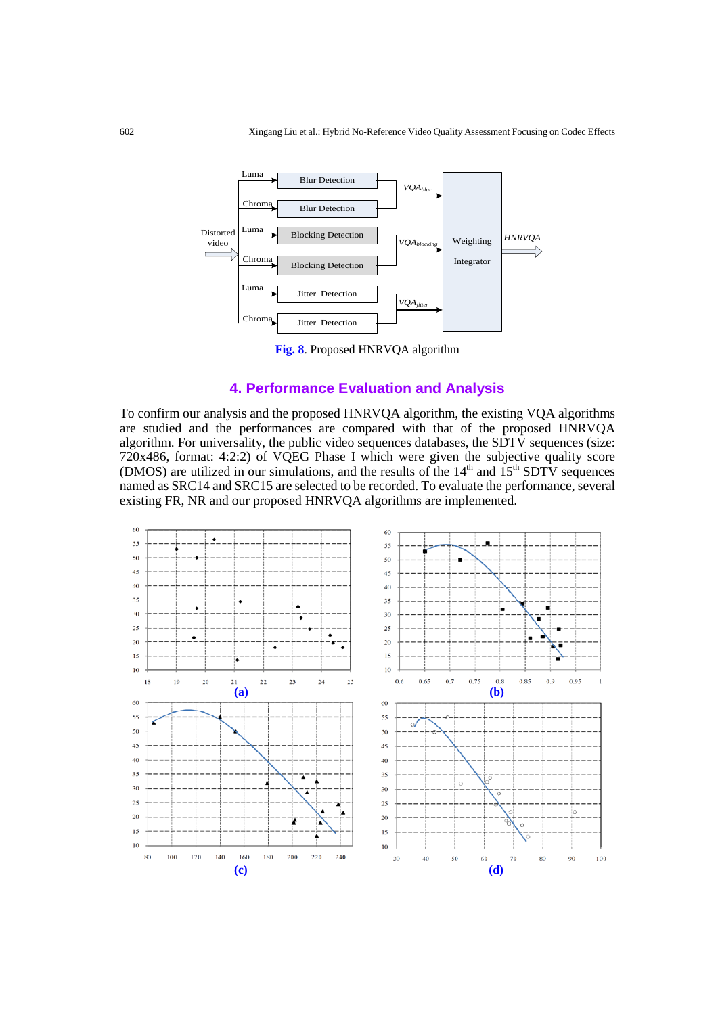

**Fig. 8**. Proposed HNRVQA algorithm

# **4. Performance Evaluation and Analysis**

To confirm our analysis and the proposed HNRVQA algorithm, the existing VQA algorithms are studied and the performances are compared with that of the proposed HNRVQA algorithm. For universality, the public video sequences databases, the  $S\overline{D}T\overline{V}$  sequences (size: 720x486, format: 4:2:2) of VQEG Phase I which were given the subjective quality score (DMOS) are utilized in our simulations, and the results of the  $14<sup>th</sup>$  and  $15<sup>th</sup>$  SDTV sequences named as SRC14 and SRC15 are selected to be recorded. To evaluate the performance, several existing FR, NR and our proposed HNRVQA algorithms are implemented.

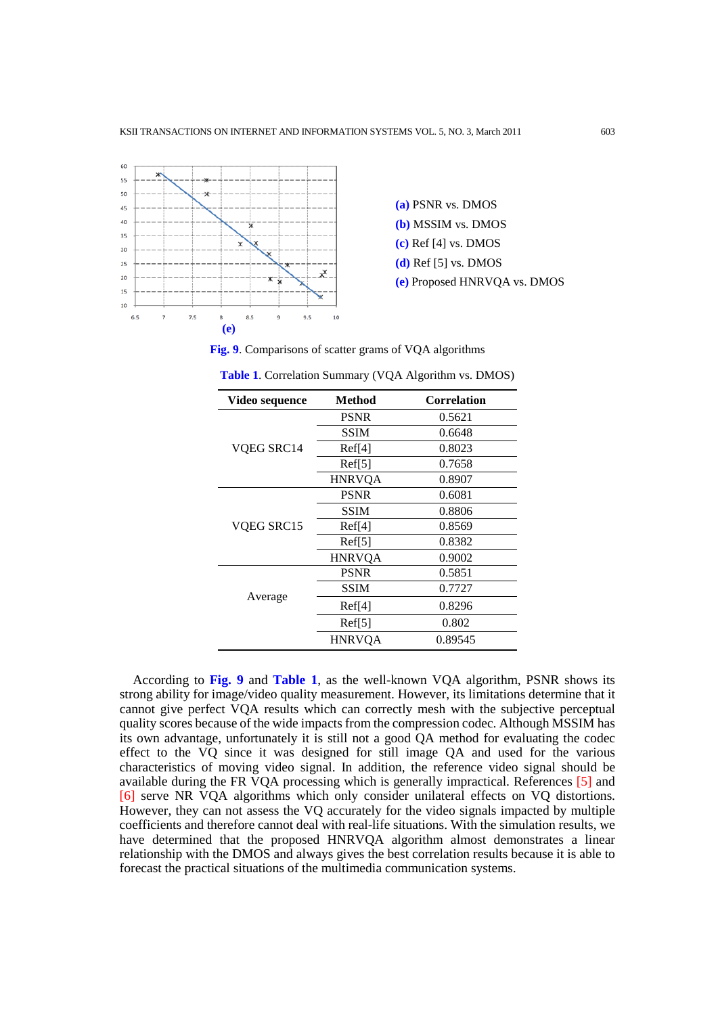

**(a)** PSNR vs. DMOS **(b)** MSSIM vs. DMOS **(c)** Ref [4] vs. DMOS **(d)** Ref [5] vs. DMOS **(e)** Proposed HNRVQA vs. DMOS

**Fig. 9**. Comparisons of scatter grams of VQA algorithms

| Video sequence | Method             | Correlation |
|----------------|--------------------|-------------|
| VQEG SRC14     | <b>PSNR</b>        | 0.5621      |
|                | SSIM               | 0.6648      |
|                | Ref[4]             | 0.8023      |
|                | Ref[5]             | 0.7658      |
|                | <b>HNRVQA</b>      | 0.8907      |
| VQEG SRC15     | <b>PSNR</b>        | 0.6081      |
|                | <b>SSIM</b>        | 0.8806      |
|                | Ref <sup>[4]</sup> | 0.8569      |
|                | Ref[5]             | 0.8382      |
|                | <b>HNRVQA</b>      | 0.9002      |
| Average        | <b>PSNR</b>        | 0.5851      |
|                | SSIM               | 0.7727      |
|                | Ref <sup>[4]</sup> | 0.8296      |
|                | Ref[5]             | 0.802       |
|                | <b>HNRVQA</b>      | 0.89545     |

**Table 1**. Correlation Summary (VQA Algorithm vs. DMOS)

According to **Fig. 9** and **Table 1**, as the well-known VQA algorithm, PSNR shows its strong ability for image/video quality measurement. However, its limitations determine that it cannot give perfect VQA results which can correctly mesh with the subjective perceptual quality scores because of the wide impacts from the compression codec. Although MSSIM has its own advantage, unfortunately it is still not a good QA method for evaluating the codec effect to the VQ since it was designed for still image QA and used for the various characteristics of moving video signal. In addition, the reference video signal should be available during the FR VQA processing which is generally impractical. References [5] and [6] serve NR VQA algorithms which only consider unilateral effects on VQ distortions. However, they can not assess the VQ accurately for the video signals impacted by multiple coefficients and therefore cannot deal with real-life situations. With the simulation results, we have determined that the proposed HNRVQA algorithm almost demonstrates a linear relationship with the DMOS and always gives the best correlation results because it is able to forecast the practical situations of the multimedia communication systems.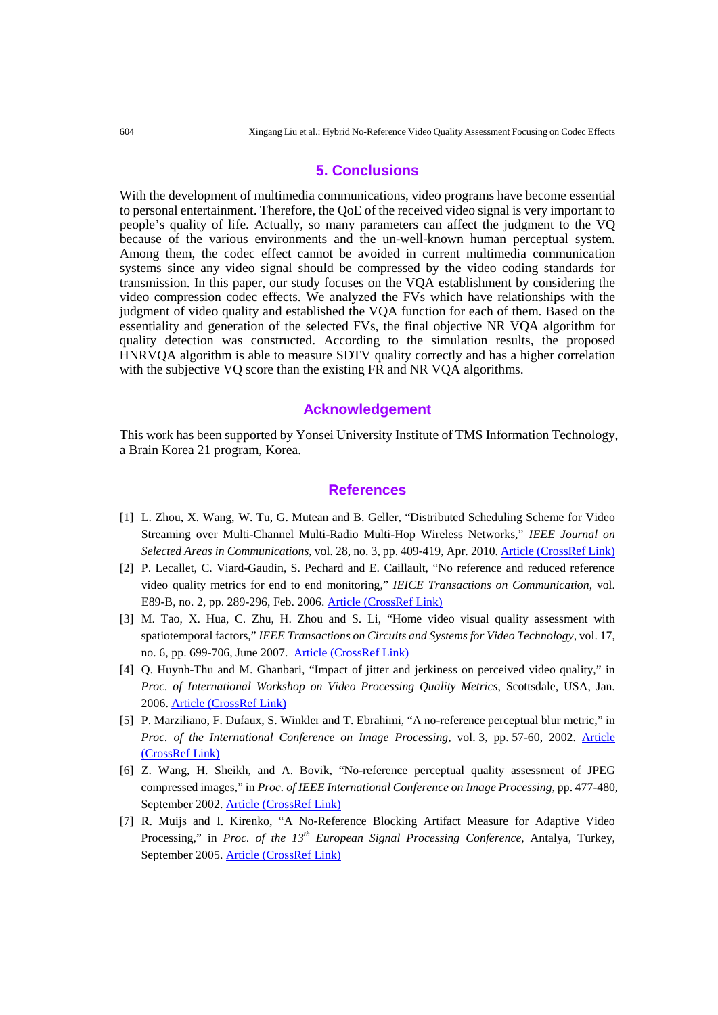#### **5. Conclusions**

With the development of multimedia communications, video programs have become essential to personal entertainment. Therefore, the QoE of the received video signal is very important to people's quality of life. Actually, so many parameters can affect the judgment to the VQ because of the various environments and the un-well-known human perceptual system. Among them, the codec effect cannot be avoided in current multimedia communication systems since any video signal should be compressed by the video coding standards for transmission. In this paper, our study focuses on the VQA establishment by considering the video compression codec effects. We analyzed the FVs which have relationships with the judgment of video quality and established the VQA function for each of them. Based on the essentiality and generation of the selected FVs, the final objective NR VQA algorithm for quality detection was constructed. According to the simulation results, the proposed HNRVQA algorithm is able to measure SDTV quality correctly and has a higher correlation with the subjective VQ score than the existing FR and NR VQA algorithms.

## **Acknowledgement**

This work has been supported by Yonsei University Institute of TMS Information Technology, a Brain Korea 21 program, Korea.

#### **References**

- [1] L. Zhou, X. Wang, W. Tu, G. Mutean and B. Geller, "Distributed Scheduling Scheme for Video Streaming over Multi-Channel Multi-Radio Multi-Hop Wireless Networks," *IEEE Journal on Selected Areas in Communications*, vol. 28, no. 3, pp. 409-419, Apr. 2010[. Article \(CrossRef Link\)](http://dx.doi.org/doi:10.1109/JSAC.2010.100412)
- [2] P. Lecallet, C. Viard-Gaudin, S. Pechard and E. Caillault, "No reference and reduced reference video quality metrics for end to end monitoring," *IEICE Transactions on Communication*, vol. E89-B, no. 2, pp. 289-296, Feb. 2006[. Article \(CrossRef Link\)](http://emilie.caillault.free.fr/doc/ECaillault_IEICE2006.pdf)
- [3] M. Tao, X. Hua, C. Zhu, H. Zhou and S. Li, "Home video visual quality assessment with spatiotemporal factors," *IEEE Transactions on Circuits and Systems for Video Technology*, vol. 17, no. 6, pp. 699-706, June 2007. [Article \(CrossRef Link\)](http://dx.doi.org/doi:10.1109/TCSVT.2007.896640)
- [4] Q. Huynh-Thu and M. Ghanbari, "Impact of jitter and jerkiness on perceived video quality," in *Proc. of International Workshop on Video Processing Quality Metrics*, Scottsdale, USA, Jan. 2006. [Article \(CrossRef Link\)](http://citeseerx.ist.psu.edu/viewdoc/download?doi=10.1.1.135.5116)
- [5] P. Marziliano, F. Dufaux, S. Winkler and T. Ebrahimi, "A no-reference perceptual blur metric," in *Proc. of the International Conference on Image Processing*, vol. 3, pp. 57-60, 2002. [Article](http://citeseerx.ist.psu.edu/viewdoc/download?doi=10.1.1.7.9921)  [\(CrossRef Link\)](http://citeseerx.ist.psu.edu/viewdoc/download?doi=10.1.1.7.9921)
- [6] Z. Wang, H. Sheikh, and A. Bovik, "No-reference perceptual quality assessment of JPEG compressed images," in *Proc. of IEEE International Conference on Image Processing*, pp. 477-480, September 2002[. Article \(CrossRef Link\)](http://dx.doi.org/doi:10.1109/ICIP.2002.1038064)
- [7] R. Muijs and I. Kirenko, "A No-Reference Blocking Artifact Measure for Adaptive Video Processing," in *Proc. of the 13th European Signal Processing Conference*, Antalya, Turkey, September 2005[. Article \(CrossRef Link\)](http://citeseerx.ist.psu.edu/viewdoc/download?doi=10.1.1.127.4796)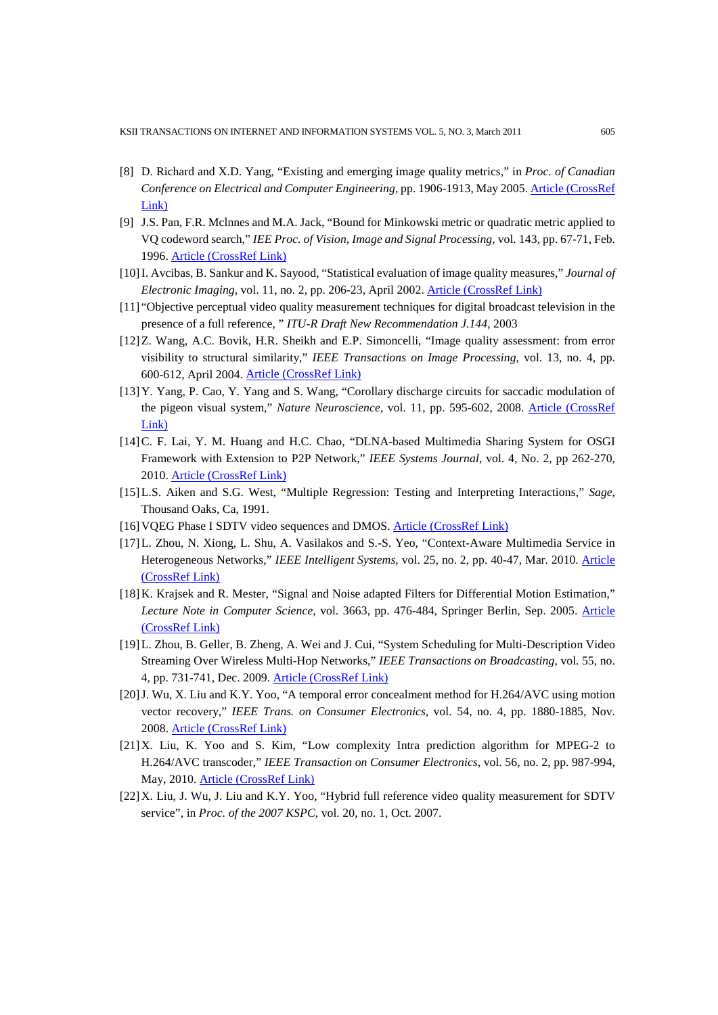- [8] D. Richard and X.D. Yang, "Existing and emerging image quality metrics," in *Proc. of Canadian Conference on Electrical and Computer Engineering*, pp. 1906-1913, May 2005. [Article \(CrossRef](http://dx.doi.org/doi:10.1109/CCECE.2005.1557355) [Link\)](http://dx.doi.org/doi:10.1109/CCECE.2005.1557355)
- [9] J.S. Pan, F.R. Mclnnes and M.A. Jack, "Bound for Minkowski metric or quadratic metric applied to VQ codeword search," *IEE Proc. of Vision, Image and Signal Processing,* vol. 143, pp. 67-71, Feb. 1996. [Article \(CrossRef Link\)](http://dx.doi.org/doi:10.1049/ip-vis:19960118)
- [10]I. Avcibas, B. Sankur and K. Sayood, "Statistical evaluation of image quality measures," *Journal of Electronic Imaging*, vol. 11, no. 2, pp. 206-23, April 2002. [Article \(CrossRef Link\)](http://dx.doi.org/doi:10.1117/1.1455011)
- [11] "Objective perceptual video quality measurement techniques for digital broadcast television in the presence of a full reference, " *ITU-R Draft New Recommendation J.144*, 2003
- [12]Z. Wang, A.C. Bovik, H.R. Sheikh and E.P. Simoncelli, "Image quality assessment: from error visibility to structural similarity," *IEEE Transactions on Image Processing*, vol. 13, no. 4, pp. 600-612, April 2004. [Article \(CrossRef Link\)](http://dx.doi.org/doi:10.1109/TIP.2003.819861)
- [13]Y. Yang, P. Cao, Y. Yang and S. Wang, "Corollary discharge circuits for saccadic modulation of the pigeon visual system," *Nature Neuroscience*, vol. 11, pp. 595-602, 2008. [Article \(CrossRef](http://dx.doi.org/doi:10.1038/nn.2107)  [Link\)](http://dx.doi.org/doi:10.1038/nn.2107)
- [14]C. F. Lai, Y. M. Huang and H.C. Chao, "DLNA-based Multimedia Sharing System for OSGI Framework with Extension to P2P Network," *IEEE Systems Journal*, vol. 4, No. 2, pp 262-270, 2010. [Article \(CrossRef Link\)](http://dx.doi.org/doi:10.1109/JSYST.2010.2047175)
- [15]L.S. Aiken and S.G. West, "Multiple Regression: Testing and Interpreting Interactions," *Sage*, Thousand Oaks, Ca, 1991.
- [16]VQEG Phase I SDTV video sequences and DMOS. [Article \(CrossRef Link\)](http://www.its.bldrdoc.gov/vqeg/)
- [17]L. Zhou, N. Xiong, L. Shu, A. Vasilakos and S.-S. Yeo, "Context-Aware Multimedia Service in Heterogeneous Networks," IEEE Intelligent Systems, vol. 25, no. 2, pp. 40-47, Mar. 2010. Article [\(CrossRef Link\)](http://dx.doi.org/doi:10.1109/MIS.2010.48)
- [18]K. Krajsek and R. Mester, "Signal and Noise adapted Filters for Differential Motion Estimation," *Lecture Note in Computer Science,* vol. 3663, pp. 476-484, Springer Berlin, Sep. 2005. [Article](http://dx.doi.org/doi:10.1007/11550518_59)  [\(CrossRef Link\)](http://dx.doi.org/doi:10.1007/11550518_59)
- [19]L. Zhou, B. Geller, B. Zheng, A. Wei and J. Cui, "System Scheduling for Multi-Description Video Streaming Over Wireless Multi-Hop Networks," *IEEE Transactions on Broadcasting*, vol. 55, no. 4, pp. 731-741, Dec. 2009. [Article \(CrossRef Link\)](http://dx.doi.org/doi:10.1109/TBC.2009.2032795)
- [20]J. Wu, X. Liu and K.Y. Yoo, "A temporal error concealment method for H.264/AVC using motion vector recovery," *IEEE Trans. on Consumer Electronics*, vol. 54, no. 4, pp. 1880-1885, Nov. 2008. [Article \(CrossRef Link\)](http://dx.doi.org/doi:10.1109/TCE.2008.4711249)
- [21]X. Liu, K. Yoo and S. Kim, "Low complexity Intra prediction algorithm for MPEG-2 to H.264/AVC transcoder," *IEEE Transaction on Consumer Electronics*, vol. 56, no. 2, pp. 987-994, May, 2010. [Article \(CrossRef Link\)](http://dx.doi.org/doi:10.1109/TCE.2010.5506030)
- [22]X. Liu, J. Wu, J. Liu and K.Y. Yoo, "Hybrid full reference video quality measurement for SDTV service", in *Proc. of the 2007 KSPC*, vol. 20, no. 1, Oct. 2007.